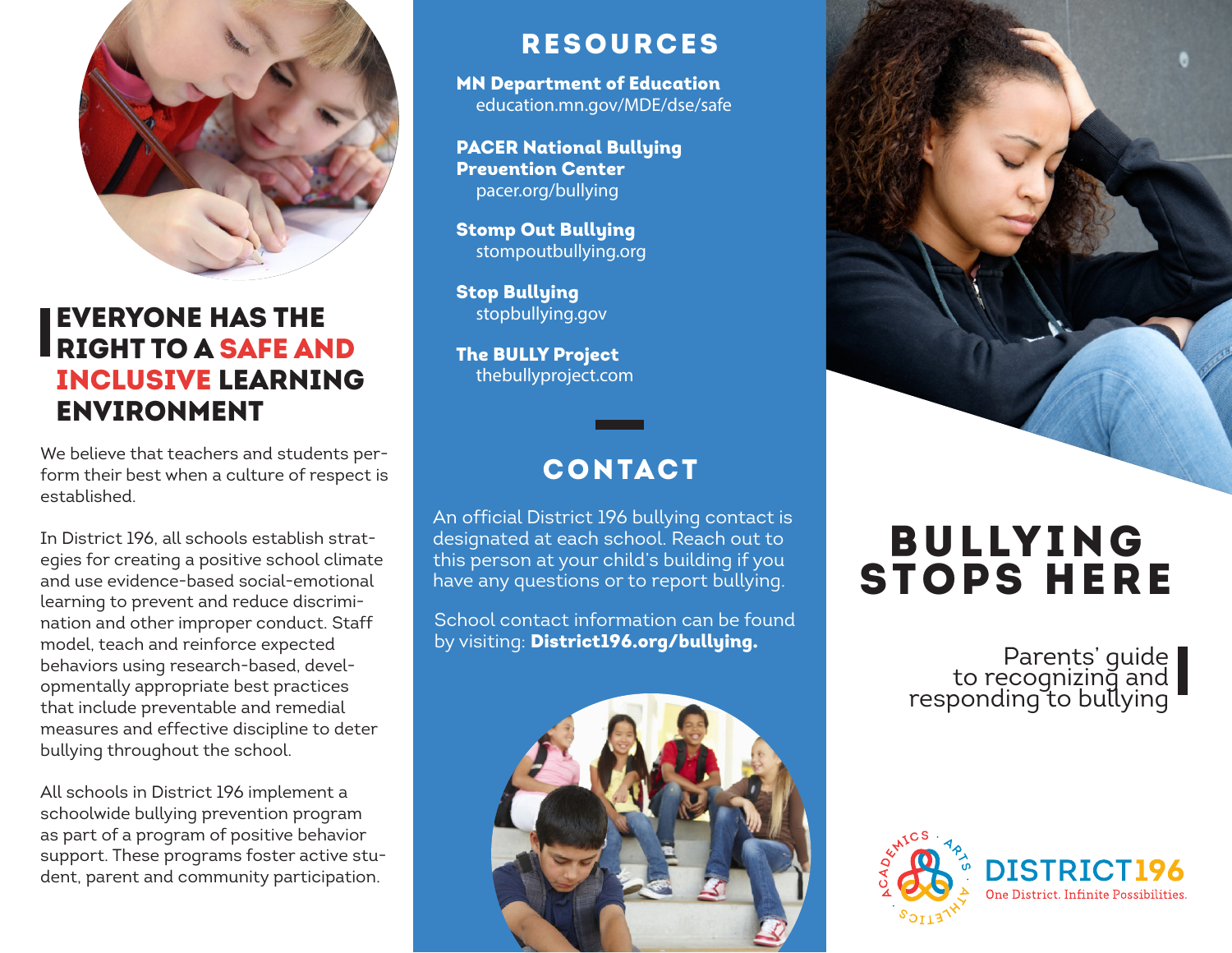

# EVERYONE HAS THE RIGHT TO A SAFE AND INCLUSIVE LEARNING ENVIRONMENT

We believe that teachers and students perform their best when a culture of respect is established.

In District 196, all schools establish strategies for creating a positive school climate and use evidence-based social-emotional learning to prevent and reduce discrimination and other improper conduct. Staff model, teach and reinforce expected behaviors using research-based, developmentally appropriate best practices that include preventable and remedial measures and effective discipline to deter bullying throughout the school.

All schools in District 196 implement a schoolwide bullying prevention program as part of a program of positive behavior support. These programs foster active student, parent and community participation.

## RESOURCES

MN Department of Education education.mn.gov/MDE/dse/safe

PACER National Bullying Prevention Center pacer.org/bullying

Stomp Out Bullying stompoutbullying.org

Stop Bullying stopbullying.gov

The BULLY Project thebullyproject.com

# CONTACT

An official District 196 bullying contact is designated at each school. Reach out to this person at your child's building if you have any questions or to report bullying.

School contact information can be found by visiting: District196.org/bullying.





# **BULLYING** STOPS HERE

Parents' guide to recognizing and responding to bullying